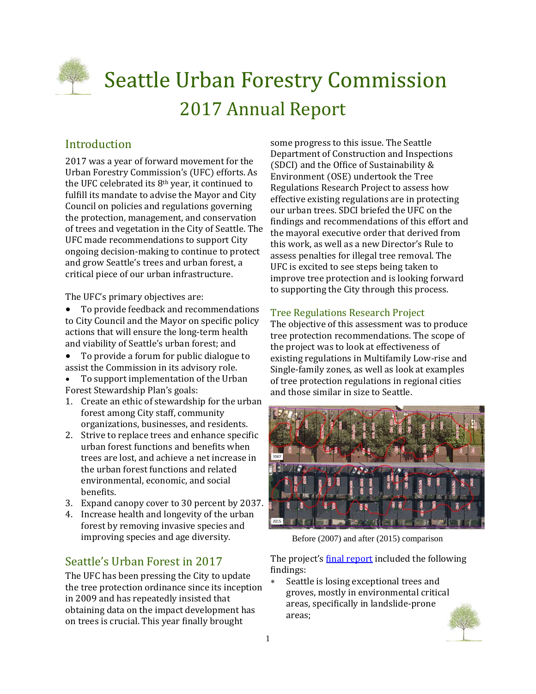

# **Seattle Urban Forestry Commission** 2017 Annual Report

# Introduction

2017 was a year of forward movement for the Urban Forestry Commission's (UFC) efforts. As the UFC celebrated its  $8<sup>th</sup>$  year, it continued to fulfill its mandate to advise the Mayor and City Council on policies and regulations governing the protection, management, and conservation of trees and vegetation in the City of Seattle. The UFC made recommendations to support City ongoing decision-making to continue to protect and grow Seattle's trees and urban forest, a critical piece of our urban infrastructure.

The UFC's primary objectives are:

- To provide feedback and recommendations to City Council and the Mayor on specific policy actions that will ensure the long-term health and viability of Seattle's urban forest; and
- To provide a forum for public dialogue to assist the Commission in its advisory role.
- To support implementation of the Urban Forest Stewardship Plan's goals:
- 1. Create an ethic of stewardship for the urban forest among City staff, community organizations, businesses, and residents.
- 2. Strive to replace trees and enhance specific urban forest functions and benefits when trees are lost, and achieve a net increase in the urban forest functions and related environmental, economic, and social benefits.
- 3. Expand canopy cover to 30 percent by 2037.
- 4. Increase health and longevity of the urban forest by removing invasive species and improving species and age diversity.

# Seattle's Urban Forest in 2017

The UFC has been pressing the City to update the tree protection ordinance since its inception in 2009 and has repeatedly insisted that obtaining data on the impact development has on trees is crucial. This year finally brought

some progress to this issue. The Seattle Department of Construction and Inspections (SDCI) and the Office of Sustainability  $&$ Environment (OSE) undertook the Tree Regulations Research Project to assess how effective existing regulations are in protecting our urban trees. SDCI briefed the UFC on the findings and recommendations of this effort and the mayoral executive order that derived from this work, as well as a new Director's Rule to assess penalties for illegal tree removal. The UFC is excited to see steps being taken to improve tree protection and is looking forward to supporting the City through this process.

# Tree Regulations Research Project

The objective of this assessment was to produce tree protection recommendations. The scope of the project was to look at effectiveness of existing regulations in Multifamily Low-rise and Single-family zones, as well as look at examples of tree protection regulations in regional cities and those similar in size to Seattle.



Before (2007) and after (2015) comparison

The project's final report included the following findings:

\* Seattle is losing exceptional trees and groves, mostly in environmental critical areas, specifically in landslide-prone areas; 

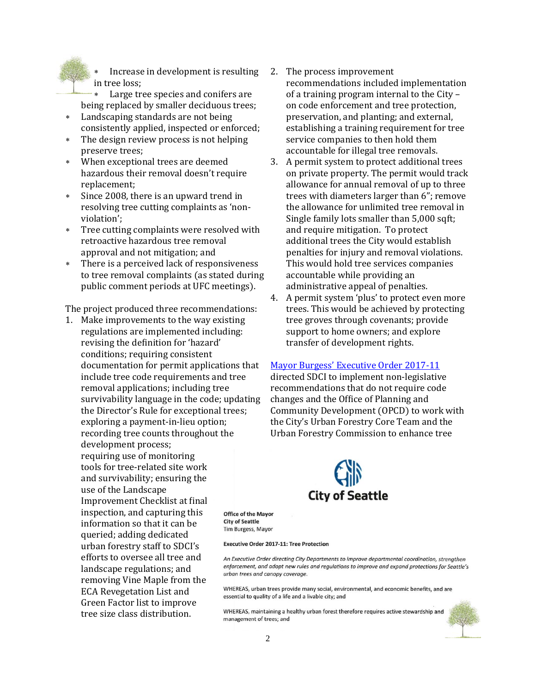Increase in development is resulting in tree loss;

Large tree species and conifers are being replaced by smaller deciduous trees;

- \* Landscaping standards are not being consistently applied, inspected or enforced;
- \* The design review process is not helping preserve trees:
- When exceptional trees are deemed hazardous their removal doesn't require replacement;
- \* Since 2008, there is an upward trend in resolving tree cutting complaints as 'nonviolation';
- \* Tree cutting complaints were resolved with retroactive hazardous tree removal approval and not mitigation; and
- There is a perceived lack of responsiveness to tree removal complaints (as stated during public comment periods at UFC meetings).

The project produced three recommendations:

1. Make improvements to the way existing regulations are implemented including: revising the definition for 'hazard' conditions; requiring consistent documentation for permit applications that include tree code requirements and tree removal applications; including tree survivability language in the code; updating the Director's Rule for exceptional trees; exploring a payment-in-lieu option; recording tree counts throughout the development process; requiring use of monitoring tools for tree-related site work and survivability; ensuring the use of the Landscape Improvement Checklist at final inspection, and capturing this information so that it can be. queried; adding dedicated urban forestry staff to SDCI's efforts to oversee all tree and landscape regulations; and removing Vine Maple from the ECA Revegetation List and Green Factor list to improve tree size class distribution.

- 2. The process improvement recommendations included implementation of a training program internal to the City – on code enforcement and tree protection, preservation, and planting; and external, establishing a training requirement for tree service companies to then hold them accountable for illegal tree removals.
- 3. A permit system to protect additional trees on private property. The permit would track allowance for annual removal of up to three trees with diameters larger than 6"; remove the allowance for unlimited tree removal in Single family lots smaller than 5,000 sqft; and require mitigation. To protect additional trees the City would establish penalties for injury and removal violations. This would hold tree services companies accountable while providing an administrative appeal of penalties.
- 4. A permit system 'plus' to protect even more trees. This would be achieved by protecting tree groves through covenants; provide support to home owners; and explore transfer of development rights.

#### Mayor Burgess' Executive Order 2017-11

directed SDCI to implement non-legislative recommendations that do not require code changes and the Office of Planning and Community Development (OPCD) to work with the City's Urban Forestry Core Team and the Urban Forestry Commission to enhance tree



**Office of the Mayor City of Seattle** Tim Burgess, Mayor

#### **Executive Order 2017-11: Tree Protection**

An Executive Order directing City Departments to improve departmental coordination, strengthen enforcement, and adopt new rules and regulations to improve and expand protections for Seattle's urban trees and canopy coverage.

WHEREAS, urban trees provide many social, environmental, and economic benefits, and are essential to quality of a life and a livable city; and

WHEREAS, maintaining a healthy urban forest therefore requires active stewardship and management of trees; and

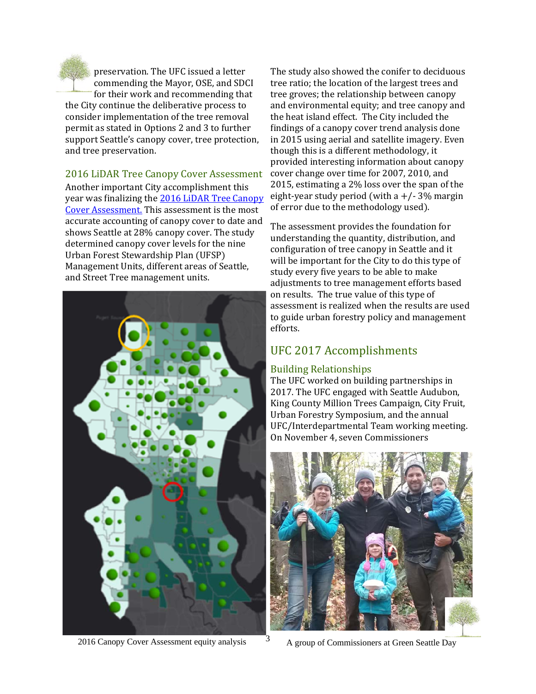

preservation. The UFC issued a letter commending the Mayor, OSE, and SDCI for their work and recommending that the City continue the deliberative process to consider implementation of the tree removal permit as stated in Options 2 and 3 to further support Seattle's canopy cover, tree protection, and tree preservation.

2016 LiDAR Tree Canopy Cover Assessment Another important City accomplishment this year was finalizing the 2016 LiDAR Tree Canopy Cover Assessment. This assessment is the most accurate accounting of canopy cover to date and shows Seattle at 28% canopy cover. The study determined canopy cover levels for the nine Urban Forest Stewardship Plan (UFSP) Management Units, different areas of Seattle, and Street Tree management units.



The study also showed the conifer to deciduous tree ratio; the location of the largest trees and tree groves; the relationship between canopy and environmental equity; and tree canopy and the heat island effect. The City included the findings of a canopy cover trend analysis done in 2015 using aerial and satellite imagery. Even though this is a different methodology, it provided interesting information about canopy cover change over time for 2007, 2010, and 2015, estimating a 2% loss over the span of the eight-year study period (with a  $+/- 3\%$  margin of error due to the methodology used).

The assessment provides the foundation for understanding the quantity, distribution, and configuration of tree canopy in Seattle and it will be important for the City to do this type of study every five years to be able to make adjustments to tree management efforts based on results. The true value of this type of assessment is realized when the results are used to guide urban forestry policy and management efforts. 

# UFC 2017 Accomplishments

# Building Relationships

The UFC worked on building partnerships in 2017. The UFC engaged with Seattle Audubon, King County Million Trees Campaign, City Fruit, Urban Forestry Symposium, and the annual UFC/Interdepartmental Team working meeting. On November 4, seven Commissioners



2016 Canopy Cover Assessment equity analysis  $A$  group of Commissioners at Green Seattle Day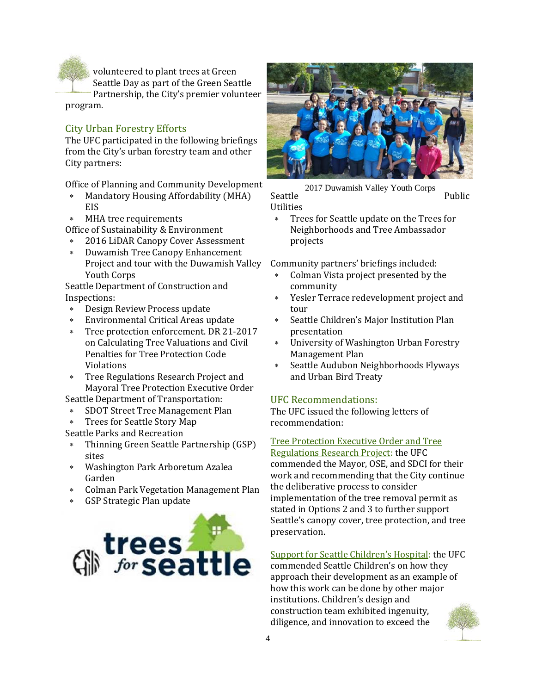volunteered to plant trees at Green Seattle Day as part of the Green Seattle

Partnership, the City's premier volunteer program. 

# City Urban Forestry Efforts

The UFC participated in the following briefings from the City's urban forestry team and other City partners:

Office of Planning and Community Development

- \* Mandatory Housing Affordability (MHA) EIS
- MHA tree requirements
- Office of Sustainability & Environment
- \* 2016 LiDAR Canopy Cover Assessment
- \* Duwamish Tree Canopy Enhancement Project and tour with the Duwamish Valley Youth Corps

Seattle Department of Construction and Inspections: 

- \* Design Review Process update
- \* Environmental Critical Areas update
- \* Tree protection enforcement. DR 21-2017 on Calculating Tree Valuations and Civil Penalties for Tree Protection Code Violations
- \* Tree Regulations Research Project and Mayoral Tree Protection Executive Order

Seattle Department of Transportation:

- SDOT Street Tree Management Plan
- \* Trees for Seattle Story Map

Seattle Parks and Recreation

- \* Thinning Green Seattle Partnership (GSP) sites
- Washington Park Arboretum Azalea Garden
- \* Colman Park Vegetation Management Plan
- GSP Strategic Plan update





Seattle Public Utilities 2017 Duwamish Valley Youth Corps

\* Trees for Seattle update on the Trees for Neighborhoods and Tree Ambassador projects 

Community partners' briefings included:

- Colman Vista project presented by the community
- \* Yesler Terrace redevelopment project and tour
- \* Seattle Children's Major Institution Plan presentation
- \* University of Washington Urban Forestry Management Plan
- \* Seattle Audubon Neighborhoods Flyways and Urban Bird Treaty

# UFC Recommendations:

The UFC issued the following letters of recommendation: 

Tree Protection Executive Order and Tree

Regulations Research Project: the UFC commended the Mayor, OSE, and SDCI for their work and recommending that the City continue the deliberative process to consider implementation of the tree removal permit as stated in Options 2 and 3 to further support Seattle's canopy cover, tree protection, and tree preservation. 

Support for Seattle Children's Hospital: the UFC commended Seattle Children's on how they approach their development as an example of how this work can be done by other major institutions. Children's design and construction team exhibited ingenuity, diligence, and innovation to exceed the

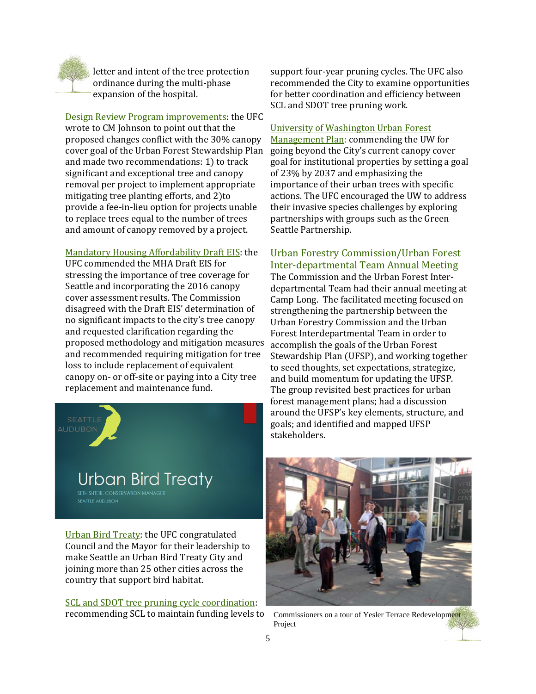

letter and intent of the tree protection ordinance during the multi-phase expansion of the hospital.

Design Review Program improvements: the UFC wrote to CM Johnson to point out that the proposed changes conflict with the 30% canopy cover goal of the Urban Forest Stewardship Plan and made two recommendations: 1) to track significant and exceptional tree and canopy removal per project to implement appropriate mitigating tree planting efforts, and 2)to provide a fee-in-lieu option for projects unable to replace trees equal to the number of trees and amount of canopy removed by a project.

#### Mandatory Housing Affordability Draft EIS: the

UFC commended the MHA Draft EIS for stressing the importance of tree coverage for Seattle and incorporating the 2016 canopy cover assessment results. The Commission disagreed with the Draft EIS' determination of no significant impacts to the city's tree canopy and requested clarification regarding the proposed methodology and mitigation measures and recommended requiring mitigation for tree loss to include replacement of equivalent canopy on- or off-site or paying into a City tree replacement and maintenance fund.



Urban Bird Treaty: the UFC congratulated Council and the Mayor for their leadership to make Seattle an Urban Bird Treaty City and joining more than 25 other cities across the country that support bird habitat.

SCL and SDOT tree pruning cycle coordination: recommending SCL to maintain funding levels to

support four-year pruning cycles. The UFC also recommended the City to examine opportunities for better coordination and efficiency between SCL and SDOT tree pruning work.

#### University of Washington Urban Forest

Management Plan: commending the UW for going beyond the City's current canopy cover goal for institutional properties by setting a goal of 23% by 2037 and emphasizing the importance of their urban trees with specific actions. The UFC encouraged the UW to address their invasive species challenges by exploring partnerships with groups such as the Green Seattle Partnership.

### Urban Forestry Commission/Urban Forest Inter‐departmental Team Annual Meeting

The Commission and the Urban Forest Interdepartmental Team had their annual meeting at Camp Long. The facilitated meeting focused on strengthening the partnership between the Urban Forestry Commission and the Urban Forest Interdepartmental Team in order to accomplish the goals of the Urban Forest Stewardship Plan (UFSP), and working together to seed thoughts, set expectations, strategize, and build momentum for updating the UFSP. The group revisited best practices for urban forest management plans; had a discussion around the UFSP's key elements, structure, and goals; and identified and mapped UFSP stakeholders. 



Commissioners on a tour of Yesler Terrace Redevelopment Project